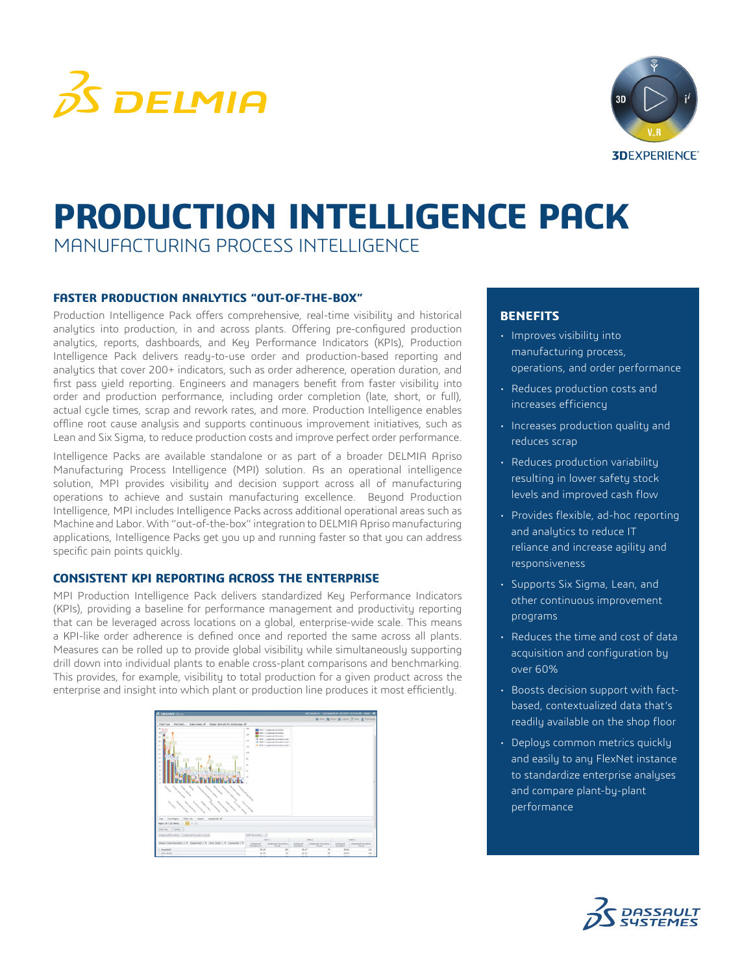



# MANUFACTURING PROCESS INTELLIGENCE **PRODUCTION INTELLIGENCE PACK**

### **FASTER PRODUCTION ANALYTICS "OUT-OF-THE-BOX"**

Production Intelligence Pack offers comprehensive, real-time visibility and historical analytics into production, in and across plants. Offering pre-configured production analytics, reports, dashboards, and Key Performance Indicators (KPIs), Production Intelligence Pack delivers ready-to-use order and production-based reporting and analytics that cover 200+ indicators, such as order adherence, operation duration, and first pass yield reporting. Engineers and managers benefit from faster visibility into order and production performance, including order completion (late, short, or full), actual cycle times, scrap and rework rates, and more. Production Intelligence enables offline root cause analysis and supports continuous improvement initiatives, such as Lean and Six Sigma, to reduce production costs and improve perfect order performance.

Intelligence Packs are available standalone or as part of a broader DELMIA Apriso Manufacturing Process Intelligence (MPI) solution. As an operational intelligence solution, MPI provides visibility and decision support across all of manufacturing operations to achieve and sustain manufacturing excellence. Beyond Production Intelligence, MPI includes Intelligence Packs across additional operational areas such as Machine and Labor. With "out-of-the-box" integration to DELMIA Apriso manufacturing applications, Intelligence Packs get you up and running faster so that you can address specific pain points quickly.

#### **CONSISTENT KPI REPORTING ACROSS THE ENTERPRISE**

MPI Production Intelligence Pack delivers standardized Key Performance Indicators (KPIs), providing a baseline for performance management and productivity reporting that can be leveraged across locations on a global, enterprise-wide scale. This means a KPI-like order adherence is defined once and reported the same across all plants. Measures can be rolled up to provide global visibility while simultaneously supporting drill down into individual plants to enable cross-plant comparisons and benchmarking. This provides, for example, visibility to total production for a given product across the enterprise and insight into which plant or production line produces it most efficiently.



#### **BENEFITS**

- Improves visibility into manufacturing process, operations, and order performance
- Reduces production costs and increases efficiency
- Increases production quality and reduces scrap
- Reduces production variability resulting in lower safety stock levels and improved cash flow
- Provides flexible, ad-hoc reporting and analytics to reduce IT reliance and increase agility and responsiveness
- Supports Six Sigma, Lean, and other continuous improvement programs
- Reduces the time and cost of data acquisition and configuration by over 60%
- Boosts decision support with factbased, contextualized data that's readily available on the shop floor
- Deploys common metrics quickly and easily to any FlexNet instance to standardize enterprise analyses and compare plant-by-plant performance